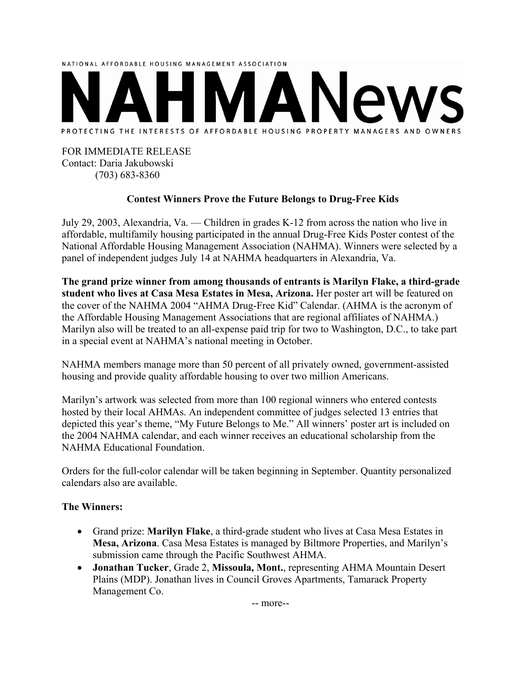

## FOR IMMEDIATE RELEASE Contact: Daria Jakubowski (703) 683-8360

## **Contest Winners Prove the Future Belongs to Drug-Free Kids**

July 29, 2003, Alexandria, Va. — Children in grades K-12 from across the nation who live in affordable, multifamily housing participated in the annual Drug-Free Kids Poster contest of the National Affordable Housing Management Association (NAHMA). Winners were selected by a panel of independent judges July 14 at NAHMA headquarters in Alexandria, Va.

**The grand prize winner from among thousands of entrants is Marilyn Flake, a third-grade student who lives at Casa Mesa Estates in Mesa, Arizona.** Her poster art will be featured on the cover of the NAHMA 2004 "AHMA Drug-Free Kid" Calendar. (AHMA is the acronym of the Affordable Housing Management Associations that are regional affiliates of NAHMA.) Marilyn also will be treated to an all-expense paid trip for two to Washington, D.C., to take part in a special event at NAHMA's national meeting in October.

NAHMA members manage more than 50 percent of all privately owned, government-assisted housing and provide quality affordable housing to over two million Americans.

Marilyn's artwork was selected from more than 100 regional winners who entered contests hosted by their local AHMAs. An independent committee of judges selected 13 entries that depicted this year's theme, "My Future Belongs to Me." All winners' poster art is included on the 2004 NAHMA calendar, and each winner receives an educational scholarship from the NAHMA Educational Foundation.

Orders for the full-color calendar will be taken beginning in September. Quantity personalized calendars also are available.

## **The Winners:**

- Grand prize: **Marilyn Flake**, a third-grade student who lives at Casa Mesa Estates in **Mesa, Arizona**. Casa Mesa Estates is managed by Biltmore Properties, and Marilyn's submission came through the Pacific Southwest AHMA.
- **Jonathan Tucker**, Grade 2, **Missoula, Mont.**, representing AHMA Mountain Desert Plains (MDP). Jonathan lives in Council Groves Apartments, Tamarack Property Management Co.

-- more--